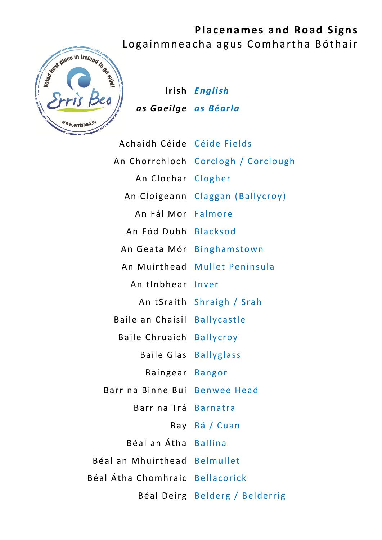

**Irish** *English as Gaeilge as Béarla*

| Achaidh Céide Céide Fields      |                                     |
|---------------------------------|-------------------------------------|
|                                 | An Chorrchloch Corclogh / Corclough |
| An Clochar Clogher              |                                     |
| An Cloigeann                    | Claggan (Ballycroy)                 |
| An Fál Mor Falmore              |                                     |
| An Fód Dubh Blacksod            |                                     |
|                                 | An Geata Mór Binghamstown           |
|                                 | An Muirthead Mullet Peninsula       |
| An tInbhear                     | Inver                               |
| An tSraith                      | Shraigh / Srah                      |
| Baile an Chaisil Ballycastle    |                                     |
| <b>Baile Chruaich Ballycroy</b> |                                     |
| <b>Baile Glas Ballyglass</b>    |                                     |
| Baingear Bangor                 |                                     |
| Barr na Binne Buí Benwee Head   |                                     |
| Barr na Trá Barnatra            |                                     |
|                                 | Bay Bá/Cuan                         |
| Béal an Átha Ballina            |                                     |
| Béal an Mhuirthead Belmullet    |                                     |
| Béal Átha Chomhraic Bellacorick |                                     |
|                                 | Béal Deirg Belderg / Belderrig      |
|                                 |                                     |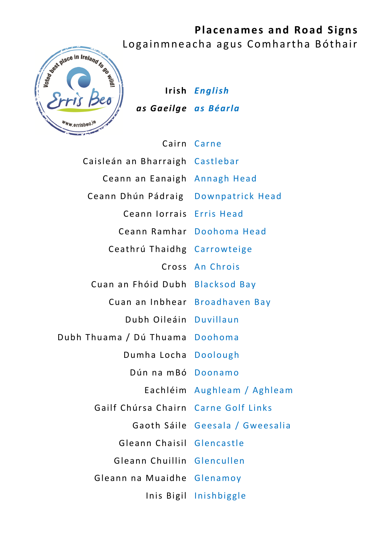

**Irish** *English as Gaeilge as Béarla*

## Cairn Carne

| Caisleán an Bharraigh Castlebar      |                                 |
|--------------------------------------|---------------------------------|
| Ceann an Eanaigh Annagh Head         |                                 |
| Ceann Dhún Pádraig                   | Downpatrick Head                |
| Ceann Iorrais                        | <b>Erris Head</b>               |
|                                      | Ceann Ramhar Doohoma Head       |
| Ceathrú Thaidhg Carrowteige          |                                 |
| Cross                                | An Chrois                       |
| Cuan an Fhóid Dubh                   | <b>Blacksod Bay</b>             |
| Cuan an Inbhear                      | <b>Broadhaven Bay</b>           |
| Dubh Oileáin Duvillaun               |                                 |
| Dubh Thuama / Dú Thuama Doohoma      |                                 |
| Dumha Locha                          | <b>Doolough</b>                 |
| Dún na mBó                           | Doonamo                         |
| Eachléim                             | Aughleam / Aghleam              |
| Gailf Chúrsa Chairn Carne Golf Links |                                 |
|                                      | Gaoth Sáile Geesala / Gweesalia |
| Gleann Chaisil                       | Glencastle                      |
| Gleann Chuillin                      | Glencullen                      |
| Gleann na Muaidhe                    | Glenamoy                        |
| Inis Bigil                           | Inishbiggle                     |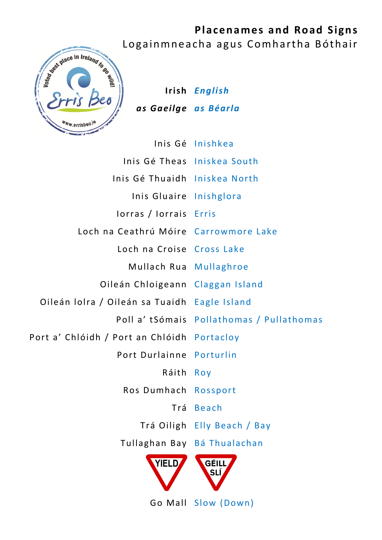

**Irish** *English as Gaeilge as Béarla*

|                                              | Inis Gé Inishkea                          |
|----------------------------------------------|-------------------------------------------|
|                                              | Inis Gé Theas Iniskea South               |
| Inis Gé Thuaidh Iniskea North                |                                           |
| Inis Gluaire Inishglora                      |                                           |
| lorras / lorrais Erris                       |                                           |
| Loch na Ceathrú Móire Carrowmore Lake        |                                           |
| Loch na Croise Cross Lake                    |                                           |
| Mullach Rua Mullaghroe                       |                                           |
| Oileán Chloigeann Claggan Island             |                                           |
| Oileán Iolra / Oileán sa Tuaidh Eagle Island |                                           |
|                                              | Poll a' tSómais Pollathomas / Pullathomas |
| Port a' Chlóidh / Port an Chlóidh Portacloy  |                                           |
| Port Durlainne Porturlin                     |                                           |
| Ráith                                        | Roy                                       |
| Ros Dumhach Rossport                         |                                           |
| Trá                                          | <b>Beach</b>                              |
|                                              | Trá Oiligh Elly Beach / Bay               |
| Tullaghan Bay                                | Bá Thualachan                             |
| <b>YIELD</b>                                 | GÉILL<br>SLÍ,                             |
| Go Mall                                      | Slow (Down)                               |